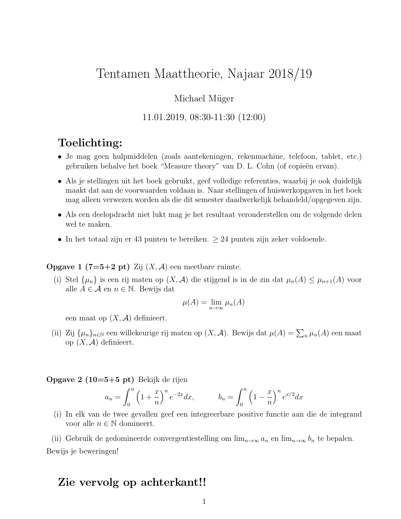# Tentamen Maattheorie, Najaar 2018/19

### Michael Müger

### 11.01.2019, 08:30-11:30 (12:00)

# Toelichting:

- Je mag geen hulpmiddelen (zoals aantekeningen, rekenmachine, telefoon, tablet, etc.) gebruiken behalve het boek "Measure theory" van D. L. Cohn (of copieën ervan).
- Als je stellingen uit het boek gebruikt, geef volledige referenties, waarbij je ook duidelijk maakt dat aan de voorwaarden voldaan is. Naar stellingen of huiswerkopgaven in het boek mag alleen verwezen worden als die dit semester daadwerkelijk behandeld/opgegeven zijn.
- Als een deelopdracht niet lukt mag je het resultaat veronderstellen om de volgende delen wel te maken.
- In het totaal zijn er 43 punten te bereiken.  $\geq 24$  punten zijn zeker voldoende.

#### **Opgave 1 (7=5+2 pt)** Zij  $(X, \mathcal{A})$  een meetbare ruimte.

(i) Stel  $\{\mu_n\}$  is een rij maten op  $(X, \mathcal{A})$  die stijgend is in de zin dat  $\mu_n(A) \leq \mu_{n+1}(A)$  voor alle  $A \in \mathcal{A}$  en  $n \in \mathbb{N}$ . Bewijs dat

$$
\mu(A) = \lim_{n \to \infty} \mu_n(A)
$$

een maat op  $(X, \mathcal{A})$  definieert.

(ii) Zij  $\{\mu_n\}_{n\in\mathbb{N}}$  een willekeurige rij maten op  $(X, \mathcal{A})$ . Bewijs dat  $\mu(A) = \sum_n \mu_n(A)$  een maat op  $(X, \mathcal{A})$  definieert.

**Opgave 2 (10=5+5 pt)** Bekijk de rijen

$$
a_n = \int_0^n \left(1 + \frac{x}{n}\right)^n e^{-2x} dx, \qquad b_n = \int_0^n \left(1 - \frac{x}{n}\right)^n e^{x/2} dx
$$

(i) In elk van de twee gevallen geef een integreerbare positive functie aan die de integrand voor alle  $n \in \mathbb{N}$  domineert.

(ii) Gebruik de gedomineerde convergentiestelling om  $\lim_{n\to\infty} a_n$  en  $\lim_{n\to\infty} b_n$  te bepalen. Bewijs je beweringen!

## Zie vervolg op achterkant!!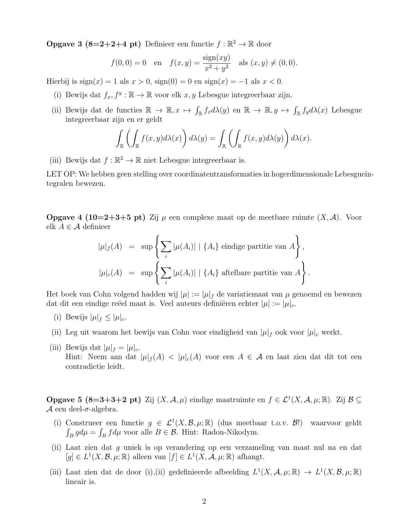**Opgave 3 (8=2+2+4 pt)** Definieer een functie  $f : \mathbb{R}^2 \to \mathbb{R}$  door

$$
f(0,0) = 0
$$
 en  $f(x,y) = \frac{\text{sign}(xy)}{x^2 + y^2}$  als  $(x, y) \neq (0,0)$ .

Hierbij is  $sign(x) = 1$  als  $x > 0$ ,  $sign(0) = 0$  en  $sign(x) = -1$  als  $x < 0$ .

- (i) Bewijs dat  $f_x, f^y : \mathbb{R} \to \mathbb{R}$  voor elk  $x, y$  Lebesgue integreerbaar zijn.
- (ii) Bewijs dat de functies  $\mathbb{R} \to \mathbb{R}, x \mapsto \int_{\mathbb{R}} f_x d\lambda(y)$  en  $\mathbb{R} \to \mathbb{R}, y \mapsto \int_{\mathbb{R}} f_y d\lambda(x)$  Lebesgue integreerbaar zijn en er geldt

$$
\int_{\mathbb{R}} \left( \int_{\mathbb{R}} f(x, y) d\lambda(x) \right) d\lambda(y) = \int_{\mathbb{R}} \left( \int_{\mathbb{R}} f(x, y) d\lambda(y) \right) d\lambda(x).
$$

(iii) Bewijs dat  $f : \mathbb{R}^2 \to \mathbb{R}$  niet Lebesgue integreerbaar is.

LET OP: We hebben geen stelling over coordinatentransformaties in hogerdimensionale Lebesgueintegralen bewezen.

**Opgave 4 (10=2+3+5 pt)** Zij  $\mu$  een complexe maat op de meetbare ruimte  $(X, \mathcal{A})$ . Voor elk  $A \in \mathcal{A}$  definieer

$$
|\mu|_f(A) = \sup \left\{ \sum_i |\mu(A_i)| \mid \{A_i\} \text{ eindige partitie van } A \right\},
$$
  

$$
|\mu|_c(A) = \sup \left\{ \sum_i |\mu(A_i)| \mid \{A_i\} \text{ aftelbare partitie van } A \right\}.
$$

Het boek van Cohn volgend hadden wij  $|\mu| := |\mu|_f$  de variatiemaat van  $\mu$  genoemd en bewezen dat dit een eindige reëel maat is. Veel auteurs definiëren echter  $|\mu| := |\mu|_c$ .

- (i) Bewijs  $|\mu|_f \leq |\mu|_c$ .
- (ii) Leg uit waarom het bewijs van Cohn voor eindigheid van  $|\mu|_f$  ook voor  $|\mu|_c$  werkt.
- (iii) Bewijs dat  $|\mu|_f = |\mu|_c$ . Hint: Neem aan dat  $|\mu|_f(A) < |\mu|_c(A)$  voor een  $A \in \mathcal{A}$  en laat zien dat dit tot een contradictie leidt.

**Opgave 5 (8=3+3+2 pt)** Zij  $(X, \mathcal{A}, \mu)$  eindige maatruimte en  $f \in \mathcal{L}^1(X, \mathcal{A}, \mu; \mathbb{R})$ . Zij  $\mathcal{B} \subseteq$ A een deel- $\sigma$ -algebra.

- (i) Construeer een functie  $g \in \mathcal{L}^1(X, \mathcal{B}, \mu; \mathbb{R})$  (dus meetbaar t.o.v.  $\mathcal{B}$ !) waarvoor geldt  $\int_B g d\mu = \int_B f d\mu$  voor alle  $B \in \mathcal{B}$ . Hint: Radon-Nikodym.
- (ii) Laat zien dat g uniek is op verandering op een verzameling van maat nul na en dat  $[g] \in L^1(X, \mathcal{B}, \mu; \mathbb{R})$  alleen van  $[f] \in L^1(X, \mathcal{A}, \mu; \mathbb{R})$  afhangt.
- (iii) Laat zien dat de door (i),(ii) gedefinieerde afbeelding  $L^1(X, \mathcal{A}, \mu; \mathbb{R}) \to L^1(X, \mathcal{B}, \mu; \mathbb{R})$ lineair is.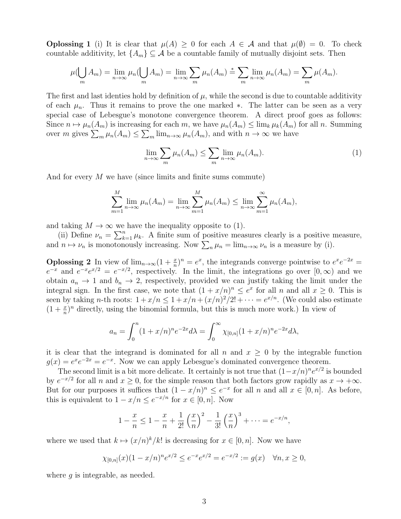**Oplossing 1** (i) It is clear that  $\mu(A) \geq 0$  for each  $A \in \mathcal{A}$  and that  $\mu(\emptyset) = 0$ . To check countable additivity, let  $\{A_m\} \subseteq \mathcal{A}$  be a countable family of mutually disjoint sets. Then

$$
\mu(\bigcup_m A_m) = \lim_{n \to \infty} \mu_n(\bigcup_m A_m) = \lim_{n \to \infty} \sum_m \mu_n(A_m) = \sum_m \lim_{n \to \infty} \mu_n(A_m) = \sum_m \mu(A_m).
$$

The first and last identies hold by definition of  $\mu$ , while the second is due to countable additivity of each  $\mu_n$ . Thus it remains to prove the one marked ∗. The latter can be seen as a very special case of Lebesgue's monotone convergence theorem. A direct proof goes as follows: Since  $n \mapsto \mu_n(A_m)$  is increasing for each m, we have  $\mu_n(A_m) \leq \lim_k \mu_k(A_m)$  for all n. Summing over m gives  $\sum_m \mu_n(A_m) \leq \sum_m \lim_{n \to \infty} \mu_n(A_m)$ , and with  $n \to \infty$  we have

$$
\lim_{n \to \infty} \sum_{m} \mu_n(A_m) \le \sum_{m} \lim_{n \to \infty} \mu_n(A_m). \tag{1}
$$

And for every M we have (since limits and finite sums commute)

$$
\sum_{m=1}^{M} \lim_{n \to \infty} \mu_n(A_m) = \lim_{n \to \infty} \sum_{m=1}^{M} \mu_n(A_m) \le \lim_{n \to \infty} \sum_{m=1}^{\infty} \mu_n(A_m),
$$

and taking  $M \to \infty$  we have the inequality opposite to (1).

(ii) Define  $\nu_n = \sum_{k=1}^n \mu_k$ . A finite sum of positive measures clearly is a positive measure, and  $n \mapsto \nu_n$  is monotonously increasing. Now  $\sum_n \mu_n = \lim_{n \to \infty} \nu_n$  is a measure by (i).

**Oplossing 2** In view of  $\lim_{n\to\infty} (1 + \frac{x}{n})^n = e^x$ , the integrands converge pointwise to  $e^x e^{-2x} =$  $e^{-x}$  and  $e^{-x}e^{x/2} = e^{-x/2}$ , respectively. In the limit, the integrations go over  $[0,\infty)$  and we obtain  $a_n \to 1$  and  $b_n \to 2$ , respectively, provided we can justify taking the limit under the integral sign. In the first case, we note that  $(1 + x/n)^n \le e^x$  for all n and all  $x \ge 0$ . This is seen by taking *n*-th roots:  $1 + x/n \leq 1 + x/n + (x/n)^2/2! + \cdots = e^{x/n}$ . (We could also estimate  $(1 + \frac{x}{n})^n$  directly, using the binomial formula, but this is much more work.) In view of

$$
a_n = \int_0^n (1 + x/n)^n e^{-2x} d\lambda = \int_0^\infty \chi_{[0,n]} (1 + x/n)^n e^{-2x} d\lambda,
$$

it is clear that the integrand is dominated for all n and  $x \geq 0$  by the integrable function  $g(x) = e^x e^{-2x} = e^{-x}$ . Now we can apply Lebesgue's dominated convergence theorem.

The second limit is a bit more delicate. It certainly is not true that  $(1-x/n)^n e^{x/2}$  is bounded by  $e^{-x/2}$  for all n and  $x \ge 0$ , for the simple reason that both factors grow rapidly as  $x \to +\infty$ . But for our purposes it suffices that  $(1 - x/n)^n \le e^{-x}$  for all n and all  $x \in [0, n]$ . As before, this is equivalent to  $1 - x/n \leq e^{-x/n}$  for  $x \in [0, n]$ . Now

$$
1 - \frac{x}{n} \le 1 - \frac{x}{n} + \frac{1}{2!} \left(\frac{x}{n}\right)^2 - \frac{1}{3!} \left(\frac{x}{n}\right)^3 + \dots = e^{-x/n},
$$

where we used that  $k \mapsto (x/n)^k/k!$  is decreasing for  $x \in [0, n]$ . Now we have

$$
\chi_{[0,n]}(x)(1-x/n)^n e^{x/2} \le e^{-x} e^{x/2} = e^{-x/2} := g(x) \quad \forall n, x \ge 0,
$$

where  $q$  is integrable, as needed.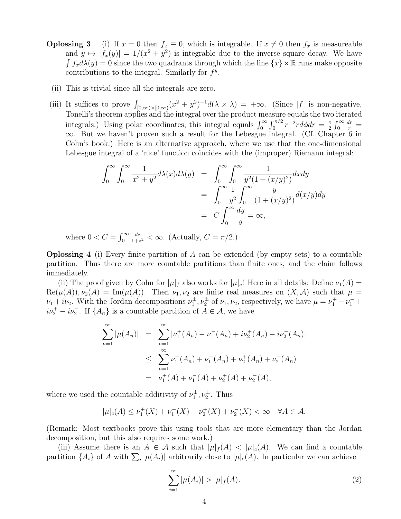- **Oplossing 3** (i) If  $x = 0$  then  $f_x \equiv 0$ , which is integrable. If  $x \neq 0$  then  $f_x$  is measureable and  $y \mapsto |f_x(y)| = 1/(x^2 + y^2)$  is integrable due to the inverse square decay. We have  $\int f_x d\lambda(y) = 0$  since the two quadrants through which the line  $\{x\} \times \mathbb{R}$  runs make opposite contributions to the integral. Similarly for  $f<sup>y</sup>$ .
	- (ii) This is trivial since all the integrals are zero.
- (iii) It suffices to prove  $\int_{[0,\infty)\times[0,\infty)} (x^2 + y^2)^{-1} d(\lambda \times \lambda) = +\infty$ . (Since |f| is non-negative, Tonelli's theorem applies and the integral over the product measure equals the two iterated integrals.) Using polar coordinates, this integral equals  $\int_0^\infty \int_0^{\pi/2} r^{-2} r d\phi dr = \frac{\pi}{2}$  $rac{\pi}{2}$   $\int_0^\infty$  $\frac{dr}{r} =$ ∞. But we haven't proven such a result for the Lebesgue integral. (Cf. Chapter 6 in Cohn's book.) Here is an alternative approach, where we use that the one-dimensional Lebesgue integral of a 'nice' function coincides with the (improper) Riemann integral:

$$
\int_0^\infty \int_0^\infty \frac{1}{x^2 + y^2} d\lambda(x) d\lambda(y) = \int_0^\infty \int_0^\infty \frac{1}{y^2 (1 + (x/y)^2)} dx dy
$$

$$
= \int_0^\infty \frac{1}{y^2} \int_0^\infty \frac{y}{(1 + (x/y)^2)} d(x/y) dy
$$

$$
= C \int_0^\infty \frac{dy}{y} = \infty,
$$

where  $0 < C = \int_0^\infty$ dz  $\frac{dz}{1+z^2} < \infty$ . (Actually,  $C = \pi/2$ .)

**Oplossing 4** (i) Every finite partition of A can be extended (by empty sets) to a countable partition. Thus there are more countable partitions than finite ones, and the claim follows immediately.

(ii) The proof given by Cohn for  $|\mu|_f$  also works for  $|\mu|_c$ ! Here in all details: Define  $\nu_1(A)$  =  $\text{Re}(\mu(A)), \nu_2(A) = \text{Im}(\mu(A)).$  Then  $\nu_1, \nu_2$  are finite real measures on  $(X, \mathcal{A})$  such that  $\mu =$  $\nu_1 + i\nu_2$ . With the Jordan decompositions  $\nu_1^{\pm}, \nu_2^{\pm}$  of  $\nu_1, \nu_2$ , respectively, we have  $\mu = \nu_1^+ - \nu_1^- + \nu_2^$  $i\nu_2^+ - i\nu_2^-$ . If  $\{A_n\}$  is a countable partition of  $A \in \mathcal{A}$ , we have

$$
\sum_{n=1}^{\infty} |\mu(A_n)| = \sum_{n=1}^{\infty} |\nu_1^+(A_n) - \nu_1^-(A_n) + i\nu_2^+(A_n) - i\nu_2^-(A_n)|
$$
  

$$
\leq \sum_{n=1}^{\infty} \nu_1^+(A_n) + \nu_1^-(A_n) + \nu_2^+(A_n) + \nu_2^-(A_n)
$$
  

$$
= \nu_1^+(A) + \nu_1^-(A) + \nu_2^+(A) + \nu_2^-(A),
$$

where we used the countable additivity of  $\nu_1^{\pm}, \nu_2^{\pm}$ . Thus

$$
|\mu|_c(A) \le \nu_1^+(X) + \nu_1^-(X) + \nu_2^+(X) + \nu_2^-(X) < \infty \quad \forall A \in \mathcal{A}.
$$

(Remark: Most textbooks prove this using tools that are more elementary than the Jordan decomposition, but this also requires some work.)

(iii) Assume there is an  $A \in \mathcal{A}$  such that  $|\mu|_f(A) < |\mu|_c(A)$ . We can find a countable partition  $\{A_i\}$  of A with  $\sum_i |\mu(A_i)|$  arbitrarily close to  $|\mu|_c(A)$ . In particular we can achieve

$$
\sum_{i=1}^{\infty} |\mu(A_i)| > |\mu|_f(A). \tag{2}
$$